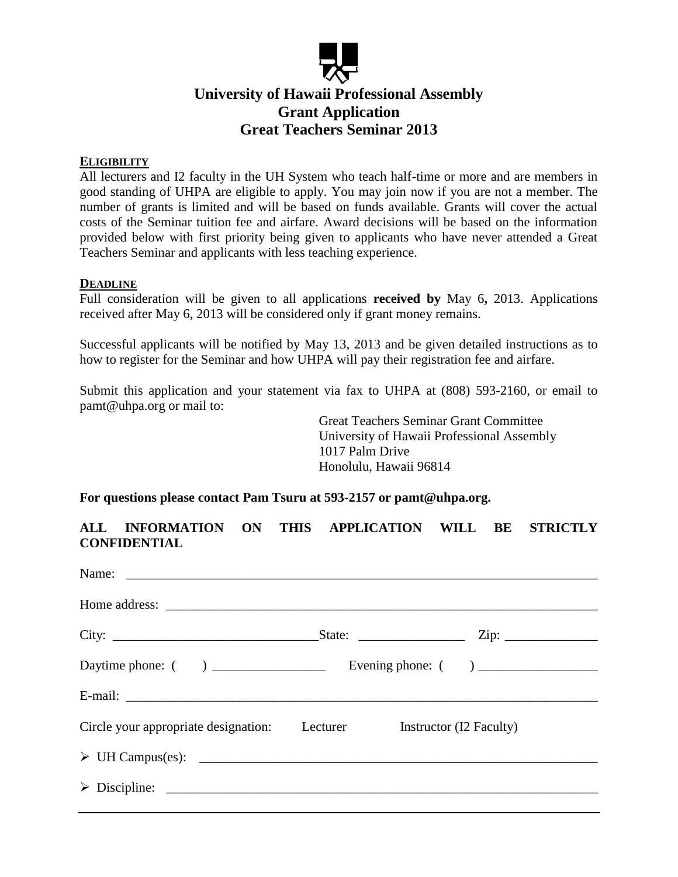

# **University of Hawaii Professional Assembly Grant Application Great Teachers Seminar 2013**

### **ELIGIBILITY**

All lecturers and I2 faculty in the UH System who teach half-time or more and are members in good standing of UHPA are eligible to apply. You may join now if you are not a member. The number of grants is limited and will be based on funds available. Grants will cover the actual costs of the Seminar tuition fee and airfare. Award decisions will be based on the information provided below with first priority being given to applicants who have never attended a Great Teachers Seminar and applicants with less teaching experience.

#### **DEADLINE**

Full consideration will be given to all applications **received by** May 6**,** 2013. Applications received after May 6, 2013 will be considered only if grant money remains.

Successful applicants will be notified by May 13, 2013 and be given detailed instructions as to how to register for the Seminar and how UHPA will pay their registration fee and airfare.

Submit this application and your statement via fax to UHPA at (808) 593-2160, or email to pamt@uhpa.org or mail to:

> Great Teachers Seminar Grant Committee University of Hawaii Professional Assembly 1017 Palm Drive Honolulu, Hawaii 96814

## **For questions please contact Pam Tsuru at 593-2157 or pamt@uhpa.org.**

|                     | <b>ALL INFORMATION</b> | $\sim$ ON | THIS APPLICATION WILL |  | <b>BE STRICTLY</b> |
|---------------------|------------------------|-----------|-----------------------|--|--------------------|
| <b>CONFIDENTIAL</b> |                        |           |                       |  |                    |

| Circle your appropriate designation: Lecturer Instructor (I2 Faculty) |  |
|-----------------------------------------------------------------------|--|
| $\triangleright$ UH Campus(es): $\Box$                                |  |
|                                                                       |  |
|                                                                       |  |